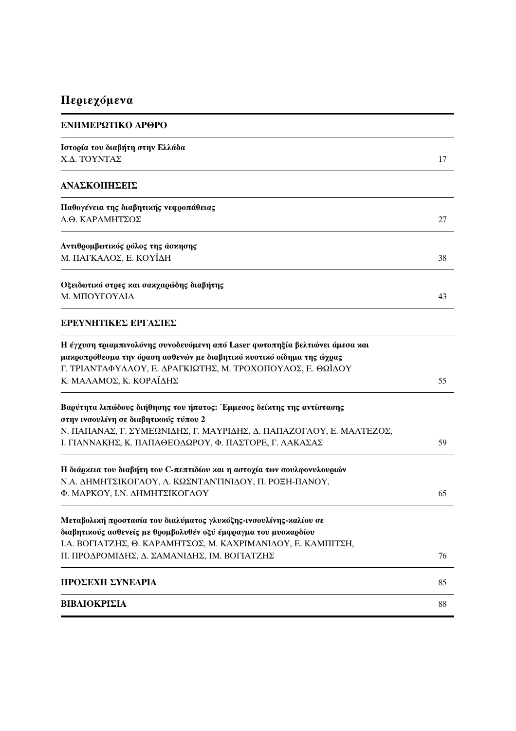## Περιεχόμενα

| ΕΝΗΜΕΡΩΤΙΚΟ ΑΡΘΡΟ                                                                                            |    |
|--------------------------------------------------------------------------------------------------------------|----|
| Ιστορία του διαβήτη στην Ελλάδα                                                                              |    |
| Χ.Δ. ΤΟΥΝΤΑΣ                                                                                                 | 17 |
| ΑΝΑΣΚΟΠΗΣΕΙΣ                                                                                                 |    |
| Παθογένεια της διαβητικής νεφροπάθειας                                                                       |    |
| Δ.Θ. ΚΑΡΑΜΗΤΣΟΣ                                                                                              | 27 |
| Αντιθρομβωτικός ρόλος της άσκησης                                                                            |    |
| Μ. ΠΑΓΚΑΛΟΣ, Ε. ΚΟΥΪΔΗ                                                                                       | 38 |
| Οξειδωτικό στρες και σακχαρώδης διαβήτης                                                                     |    |
| Μ. ΜΠΟΥΓΟΥΛΙΑ                                                                                                | 43 |
| ΕΡΕΥΝΗΤΙΚΕΣ ΕΡΓΑΣΙΕΣ                                                                                         |    |
| Η έγχυση τριαμπινολόνης συνοδευόμενη από Laser φωτοπηξία βελτιώνει άμεσα και                                 |    |
| μακροπρόθεσμα την όραση ασθενών με διαβητικό κυστικό οίδημα της ώχρας                                        |    |
| Γ. ΤΡΙΑΝΤΑΦΥΛΛΟΥ, Ε. ΔΡΑΓΚΙΩΤΗΣ, Μ. ΤΡΟΧΟΠΟΥΛΟΣ, Ε. ΘΩΪΔΟΥ<br>Κ. ΜΑΛΑΜΟΣ, Κ. ΚΟΡΑΪΔΗΣ                        | 55 |
|                                                                                                              |    |
| Βαρύτητα λιπώδους διήθησης του ήπατος: Έμμεσος δείκτης της αντίστασης                                        |    |
| στην ινσουλίνη σε διαβητικούς τύπου 2<br>Ν. ΠΑΠΑΝΑΣ, Γ. ΣΥΜΕΩΝΙΔΗΣ, Γ. ΜΑΥΡΙΔΗΣ, Δ. ΠΑΠΑΖΟΓΛΟΥ, Ε. ΜΑΛΤΕΖΟΣ, |    |
| Ι. ΓΙΑΝΝΑΚΗΣ, Κ. ΠΑΠΑΘΕΟΔΩΡΟΥ, Φ. ΠΑΣΤΟΡΕ, Γ. ΛΑΚΑΣΑΣ                                                        | 59 |
|                                                                                                              |    |
| Η διάρκεια του διαβήτη του C-πεπτιδίου και η αστοχία των σουλφονυλουριών                                     |    |
| Ν.Α. ΔΗΜΗΤΣΙΚΟΓΛΟΥ, Λ. ΚΩΣΝΤΑΝΤΙΝΙΔΟΥ, Π. ΡΟΞΗ-ΠΑΝΟΥ,                                                        |    |
| Φ. ΜΑΡΚΟΥ, Ι.Ν. ΔΗΜΗΤΣΙΚΟΓΛΟΥ                                                                                | 65 |
| Μεταβολική προστασία του διαλύματος γλυκόζης-ινσουλίνης-καλίου σε                                            |    |
| διαβητικούς ασθενείς με θρομβολυθέν οξύ έμφραγμα του μυοκαρδίου                                              |    |
| Ι.Α. ΒΟΓΙΑΤΖΗΣ, Θ. ΚΑΡΑΜΗΤΣΟΣ, Μ. ΚΑΧΡΙΜΑΝΙΔΟΥ, Ε. ΚΑΜΠΙΤΣΗ,                                                 |    |
| Π. ΠΡΟΔΡΟΜΙΔΗΣ, Δ. ΣΑΜΑΝΙΔΗΣ, ΙΜ. ΒΟΓΙΑΤΖΗΣ                                                                  | 76 |
| ΠΡΟΣΕΧΗ ΣΥΝΕΔΡΙΑ                                                                                             | 85 |
| ΒΙΒΛΙΟΚΡΙΣΙΑ                                                                                                 | 88 |